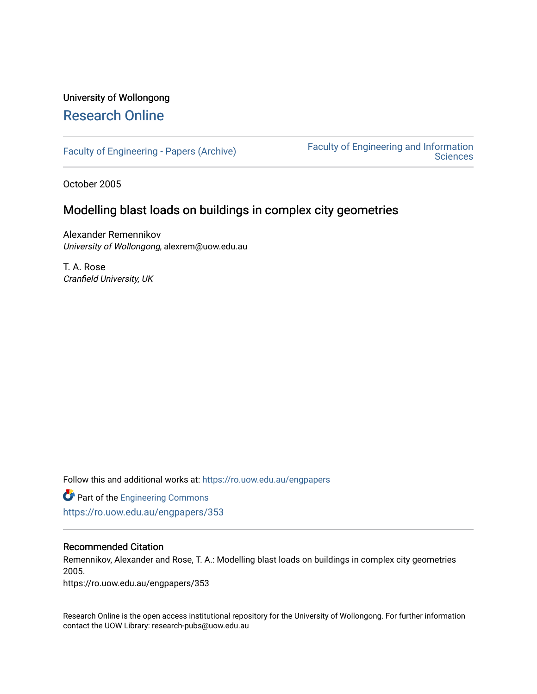# University of Wollongong [Research Online](https://ro.uow.edu.au/)

[Faculty of Engineering - Papers \(Archive\)](https://ro.uow.edu.au/engpapers) [Faculty of Engineering and Information](https://ro.uow.edu.au/eis)  **Sciences** 

October 2005

# Modelling blast loads on buildings in complex city geometries

Alexander Remennikov University of Wollongong, alexrem@uow.edu.au

T. A. Rose Cranfield University, UK

Follow this and additional works at: [https://ro.uow.edu.au/engpapers](https://ro.uow.edu.au/engpapers?utm_source=ro.uow.edu.au%2Fengpapers%2F353&utm_medium=PDF&utm_campaign=PDFCoverPages) 

**Part of the [Engineering Commons](http://network.bepress.com/hgg/discipline/217?utm_source=ro.uow.edu.au%2Fengpapers%2F353&utm_medium=PDF&utm_campaign=PDFCoverPages)** <https://ro.uow.edu.au/engpapers/353>

## Recommended Citation

Remennikov, Alexander and Rose, T. A.: Modelling blast loads on buildings in complex city geometries 2005.

https://ro.uow.edu.au/engpapers/353

Research Online is the open access institutional repository for the University of Wollongong. For further information contact the UOW Library: research-pubs@uow.edu.au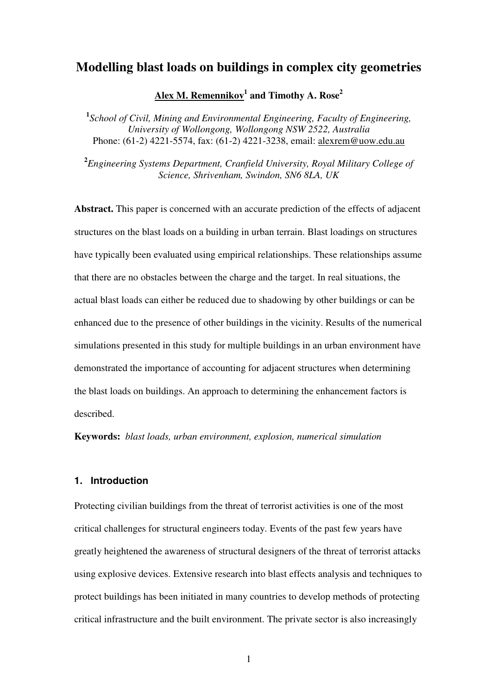# **Modelling blast loads on buildings in complex city geometries**

# **Alex M. Remennikov<sup>1</sup> and Timothy A. Rose 2**

**1** *School of Civil, Mining and Environmental Engineering, Faculty of Engineering, University of Wollongong, Wollongong NSW 2522, Australia* Phone: (61-2) 4221-5574, fax: (61-2) 4221-3238, email: alexrem@uow.edu.au

**2** *Engineering Systems Department, Cranfield University, Royal Military College of Science, Shrivenham, Swindon, SN6 8LA, UK*

**Abstract.** This paper is concerned with an accurate prediction of the effects of adjacent structures on the blast loads on a building in urban terrain. Blast loadings on structures have typically been evaluated using empirical relationships. These relationships assume that there are no obstacles between the charge and the target. In real situations, the actual blast loads can either be reduced due to shadowing by other buildings or can be enhanced due to the presence of other buildings in the vicinity. Results of the numerical simulations presented in this study for multiple buildings in an urban environment have demonstrated the importance of accounting for adjacent structures when determining the blast loads on buildings. An approach to determining the enhancement factors is described.

**Keywords:** *blast loads, urban environment, explosion, numerical simulation*

# **1. Introduction**

Protecting civilian buildings from the threat of terrorist activities is one of the most critical challenges for structural engineers today. Events of the past few years have greatly heightened the awareness of structural designers of the threat of terrorist attacks using explosive devices. Extensive research into blast effects analysis and techniques to protect buildings has been initiated in many countries to develop methods of protecting critical infrastructure and the built environment. The private sector is also increasingly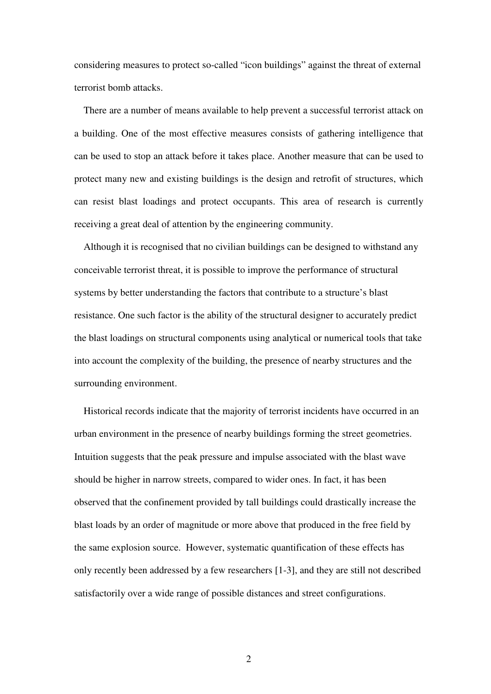considering measures to protect so-called "icon buildings" against the threat of external terrorist bomb attacks.

There are a number of means available to help prevent a successful terrorist attack on a building. One of the most effective measures consists of gathering intelligence that can be used to stop an attack before it takes place. Another measure that can be used to protect many new and existing buildings is the design and retrofit of structures, which can resist blast loadings and protect occupants. This area of research is currently receiving a great deal of attention by the engineering community.

Although it is recognised that no civilian buildings can be designed to withstand any conceivable terrorist threat, it is possible to improve the performance of structural systems by better understanding the factors that contribute to a structure's blast resistance. One such factor is the ability of the structural designer to accurately predict the blast loadings on structural components using analytical or numerical tools that take into account the complexity of the building, the presence of nearby structures and the surrounding environment.

Historical records indicate that the majority of terrorist incidents have occurred in an urban environment in the presence of nearby buildings forming the street geometries. Intuition suggests that the peak pressure and impulse associated with the blast wave should be higher in narrow streets, compared to wider ones. In fact, it has been observed that the confinement provided by tall buildings could drastically increase the blast loads by an order of magnitude or more above that produced in the free field by the same explosion source. However, systematic quantification of these effects has only recently been addressed by a few researchers [1-3], and they are still not described satisfactorily over a wide range of possible distances and street configurations.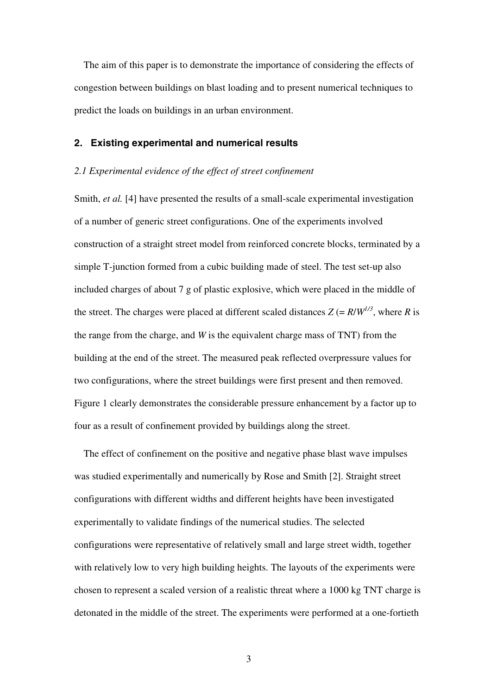The aim of this paper is to demonstrate the importance of considering the effects of congestion between buildings on blast loading and to present numerical techniques to predict the loads on buildings in an urban environment.

## **2. Existing experimental and numerical results**

#### *2.1 Experimental evidence of the effect of street confinement*

Smith, *et al.* [4] have presented the results of a small-scale experimental investigation of a number of generic street configurations. One of the experiments involved construction of a straight street model from reinforced concrete blocks, terminated by a simple T-junction formed from a cubic building made of steel. The test set-up also included charges of about 7 g of plastic explosive, which were placed in the middle of the street. The charges were placed at different scaled distances  $Z = R/W^{1/3}$ , where R is the range from the charge, and *W* is the equivalent charge mass of TNT) from the building at the end of the street. The measured peak reflected overpressure values for two configurations, where the street buildings were first present and then removed. Figure 1 clearly demonstrates the considerable pressure enhancement by a factor up to four as a result of confinement provided by buildings along the street.

The effect of confinement on the positive and negative phase blast wave impulses was studied experimentally and numerically by Rose and Smith [2]. Straight street configurations with different widths and different heights have been investigated experimentally to validate findings of the numerical studies. The selected configurations were representative of relatively small and large street width, together with relatively low to very high building heights. The layouts of the experiments were chosen to represent a scaled version of a realistic threat where a 1000 kg TNT charge is detonated in the middle of the street. The experiments were performed at a one-fortieth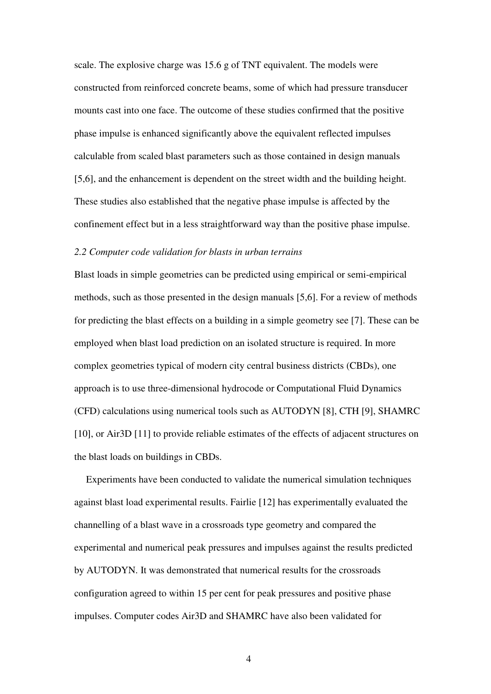scale. The explosive charge was 15.6 g of TNT equivalent. The models were constructed from reinforced concrete beams, some of which had pressure transducer mounts cast into one face. The outcome of these studies confirmed that the positive phase impulse is enhanced significantly above the equivalent reflected impulses calculable from scaled blast parameters such as those contained in design manuals [5,6], and the enhancement is dependent on the street width and the building height. These studies also established that the negative phase impulse is affected by the confinement effect but in a less straightforward way than the positive phase impulse.

## *2.2 Computer code validation for blasts in urban terrains*

Blast loads in simple geometries can be predicted using empirical or semi-empirical methods, such as those presented in the design manuals [5,6]. For a review of methods for predicting the blast effects on a building in a simple geometry see [7]. These can be employed when blast load prediction on an isolated structure is required. In more complex geometries typical of modern city central business districts (CBDs), one approach is to use three-dimensional hydrocode or Computational Fluid Dynamics (CFD) calculations using numerical tools such as AUTODYN [8], CTH [9], SHAMRC [10], or Air3D [11] to provide reliable estimates of the effects of adjacent structures on the blast loads on buildings in CBDs.

Experiments have been conducted to validate the numerical simulation techniques against blast load experimental results. Fairlie [12] has experimentally evaluated the channelling of a blast wave in a crossroads type geometry and compared the experimental and numerical peak pressures and impulses against the results predicted by AUTODYN. It was demonstrated that numerical results for the crossroads configuration agreed to within 15 per cent for peak pressures and positive phase impulses. Computer codes Air3D and SHAMRC have also been validated for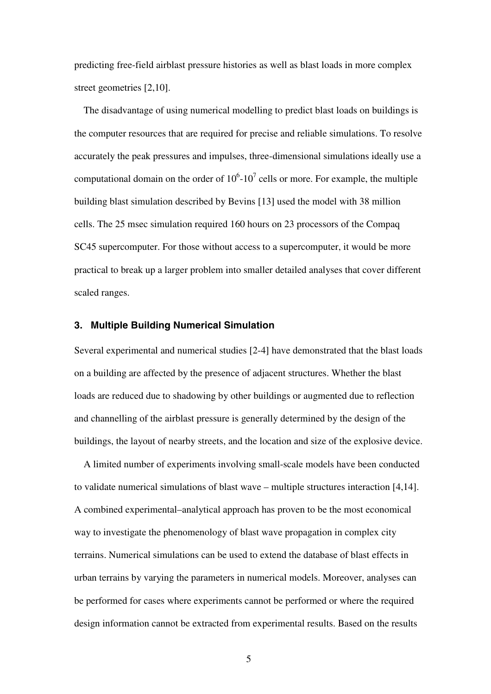predicting free-field airblast pressure histories as well as blast loads in more complex street geometries [2,10].

The disadvantage of using numerical modelling to predict blast loads on buildings is the computer resources that are required for precise and reliable simulations. To resolve accurately the peak pressures and impulses, three-dimensional simulations ideally use a computational domain on the order of  $10^6$ - $10^7$  cells or more. For example, the multiple building blast simulation described by Bevins [13] used the model with 38 million cells. The 25 msec simulation required 160 hours on 23 processors of the Compaq SC45 supercomputer. For those without access to a supercomputer, it would be more practical to break up a larger problem into smaller detailed analyses that cover different scaled ranges.

# **3. Multiple Building Numerical Simulation**

Several experimental and numerical studies [2-4] have demonstrated that the blast loads on a building are affected by the presence of adjacent structures. Whether the blast loads are reduced due to shadowing by other buildings or augmented due to reflection and channelling of the airblast pressure is generally determined by the design of the buildings, the layout of nearby streets, and the location and size of the explosive device.

A limited number of experiments involving small-scale models have been conducted to validate numerical simulations of blast wave – multiple structures interaction [4,14]. A combined experimental–analytical approach has proven to be the most economical way to investigate the phenomenology of blast wave propagation in complex city terrains. Numerical simulations can be used to extend the database of blast effects in urban terrains by varying the parameters in numerical models. Moreover, analyses can be performed for cases where experiments cannot be performed or where the required design information cannot be extracted from experimental results. Based on the results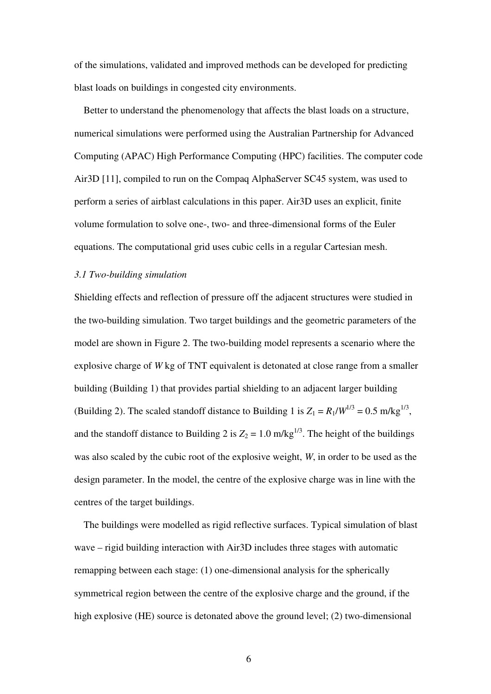of the simulations, validated and improved methods can be developed for predicting blast loads on buildings in congested city environments.

Better to understand the phenomenology that affects the blast loads on a structure, numerical simulations were performed using the Australian Partnership for Advanced Computing (APAC) High Performance Computing (HPC) facilities. The computer code Air3D [11], compiled to run on the Compaq AlphaServer SC45 system, was used to perform a series of airblast calculations in this paper. Air3D uses an explicit, finite volume formulation to solve one-, two- and three-dimensional forms of the Euler equations. The computational grid uses cubic cells in a regular Cartesian mesh.

### *3.1 Two-building simulation*

Shielding effects and reflection of pressure off the adjacent structures were studied in the two-building simulation. Two target buildings and the geometric parameters of the model are shown in Figure 2. The two-building model represents a scenario where the explosive charge of *W* kg of TNT equivalent is detonated at close range from a smaller building (Building 1) that provides partial shielding to an adjacent larger building (Building 2). The scaled standoff distance to Building 1 is  $Z_1 = R_1/W^{1/3} = 0.5$  m/kg<sup>1/3</sup>, and the standoff distance to Building 2 is  $Z_2 = 1.0$  m/kg<sup>1/3</sup>. The height of the buildings was also scaled by the cubic root of the explosive weight, *W*, in order to be used as the design parameter. In the model, the centre of the explosive charge was in line with the centres of the target buildings.

The buildings were modelled as rigid reflective surfaces. Typical simulation of blast wave – rigid building interaction with Air3D includes three stages with automatic remapping between each stage: (1) one-dimensional analysis for the spherically symmetrical region between the centre of the explosive charge and the ground, if the high explosive (HE) source is detonated above the ground level; (2) two-dimensional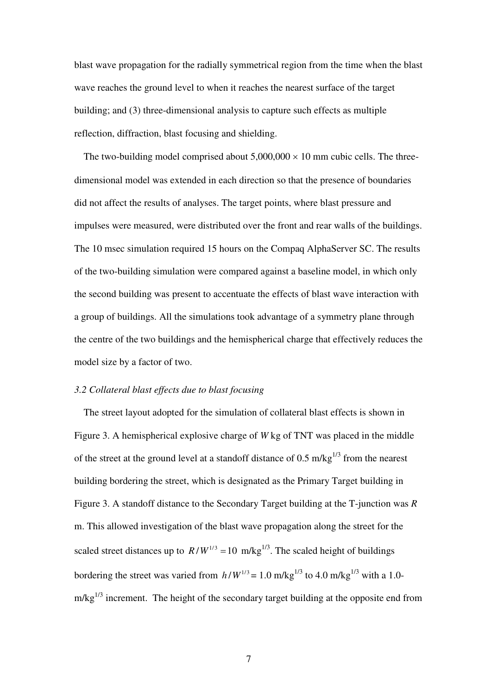blast wave propagation for the radially symmetrical region from the time when the blast wave reaches the ground level to when it reaches the nearest surface of the target building; and (3) three-dimensional analysis to capture such effects as multiple reflection, diffraction, blast focusing and shielding.

The two-building model comprised about  $5,000,000 \times 10$  mm cubic cells. The threedimensional model was extended in each direction so that the presence of boundaries did not affect the results of analyses. The target points, where blast pressure and impulses were measured, were distributed over the front and rear walls of the buildings. The 10 msec simulation required 15 hours on the Compaq AlphaServer SC. The results of the two-building simulation were compared against a baseline model, in which only the second building was present to accentuate the effects of blast wave interaction with a group of buildings. All the simulations took advantage of a symmetry plane through the centre of the two buildings and the hemispherical charge that effectively reduces the model size by a factor of two.

## *3.2 Collateral blast effects due to blast focusing*

The street layout adopted for the simulation of collateral blast effects is shown in Figure 3. A hemispherical explosive charge of *W* kg of TNT was placed in the middle of the street at the ground level at a standoff distance of  $0.5 \text{ m/kg}^{1/3}$  from the nearest building bordering the street, which is designated as the Primary Target building in Figure 3. A standoff distance to the Secondary Target building at the T-junction was *R* m. This allowed investigation of the blast wave propagation along the street for the scaled street distances up to  $R/W^{1/3} = 10$  m/kg<sup>1/3</sup>. The scaled height of buildings bordering the street was varied from  $h/W^{1/3} = 1.0 \text{ m/kg}^{1/3}$  to 4.0 m/kg<sup>1/3</sup> with a 1.0 $m/kg^{1/3}$  increment. The height of the secondary target building at the opposite end from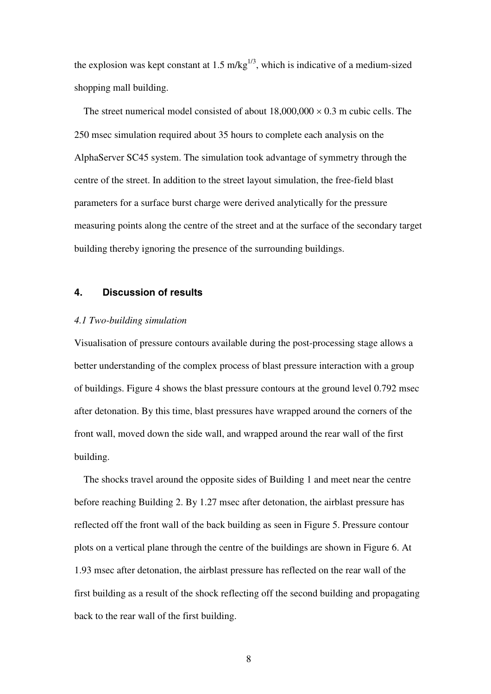the explosion was kept constant at 1.5 m/kg<sup>1/3</sup>, which is indicative of a medium-sized shopping mall building.

The street numerical model consisted of about  $18,000,000 \times 0.3$  m cubic cells. The 250 msec simulation required about 35 hours to complete each analysis on the AlphaServer SC45 system. The simulation took advantage of symmetry through the centre of the street. In addition to the street layout simulation, the free-field blast parameters for a surface burst charge were derived analytically for the pressure measuring points along the centre of the street and at the surface of the secondary target building thereby ignoring the presence of the surrounding buildings.

## **4. Discussion of results**

## *4.1 Two-building simulation*

Visualisation of pressure contours available during the post-processing stage allows a better understanding of the complex process of blast pressure interaction with a group of buildings. Figure 4 shows the blast pressure contours at the ground level 0.792 msec after detonation. By this time, blast pressures have wrapped around the corners of the front wall, moved down the side wall, and wrapped around the rear wall of the first building.

The shocks travel around the opposite sides of Building 1 and meet near the centre before reaching Building 2. By 1.27 msec after detonation, the airblast pressure has reflected off the front wall of the back building as seen in Figure 5. Pressure contour plots on a vertical plane through the centre of the buildings are shown in Figure 6. At 1.93 msec after detonation, the airblast pressure has reflected on the rear wall of the first building as a result of the shock reflecting off the second building and propagating back to the rear wall of the first building.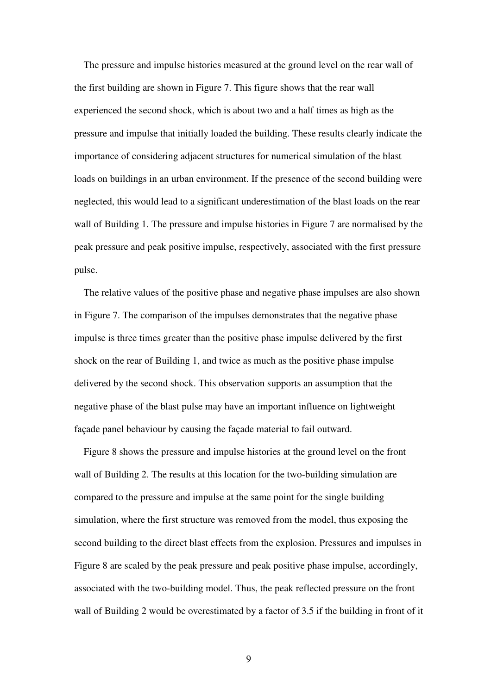The pressure and impulse histories measured at the ground level on the rear wall of the first building are shown in Figure 7. This figure shows that the rear wall experienced the second shock, which is about two and a half times as high as the pressure and impulse that initially loaded the building. These results clearly indicate the importance of considering adjacent structures for numerical simulation of the blast loads on buildings in an urban environment. If the presence of the second building were neglected, this would lead to a significant underestimation of the blast loads on the rear wall of Building 1. The pressure and impulse histories in Figure 7 are normalised by the peak pressure and peak positive impulse, respectively, associated with the first pressure pulse.

The relative values of the positive phase and negative phase impulses are also shown in Figure 7. The comparison of the impulses demonstrates that the negative phase impulse is three times greater than the positive phase impulse delivered by the first shock on the rear of Building 1, and twice as much as the positive phase impulse delivered by the second shock. This observation supports an assumption that the negative phase of the blast pulse may have an important influence on lightweight façade panel behaviour by causing the façade material to fail outward.

Figure 8 shows the pressure and impulse histories at the ground level on the front wall of Building 2. The results at this location for the two-building simulation are compared to the pressure and impulse at the same point for the single building simulation, where the first structure was removed from the model, thus exposing the second building to the direct blast effects from the explosion. Pressures and impulses in Figure 8 are scaled by the peak pressure and peak positive phase impulse, accordingly, associated with the two-building model. Thus, the peak reflected pressure on the front wall of Building 2 would be overestimated by a factor of 3.5 if the building in front of it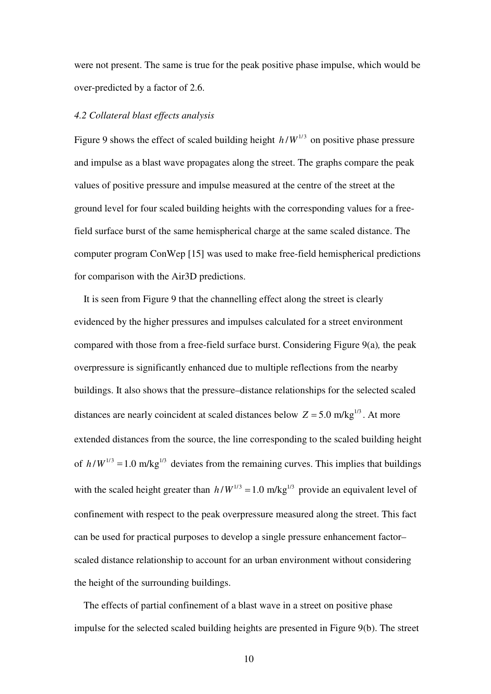were not present. The same is true for the peak positive phase impulse, which would be over-predicted by a factor of 2.6.

#### *4.2 Collateral blast effects analysis*

Figure 9 shows the effect of scaled building height  $h/W^{1/3}$  on positive phase pressure and impulse as a blast wave propagates along the street. The graphs compare the peak values of positive pressure and impulse measured at the centre of the street at the ground level for four scaled building heights with the corresponding values for a freefield surface burst of the same hemispherical charge at the same scaled distance. The computer program ConWep [15] was used to make free-field hemispherical predictions for comparison with the Air3D predictions.

It is seen from Figure 9 that the channelling effect along the street is clearly evidenced by the higher pressures and impulses calculated for a street environment compared with those from a free-field surface burst. Considering Figure 9(a)*,* the peak overpressure is significantly enhanced due to multiple reflections from the nearby buildings. It also shows that the pressure–distance relationships for the selected scaled distances are nearly coincident at scaled distances below  $Z = 5.0$  m/kg<sup>1/3</sup>. At more extended distances from the source, the line corresponding to the scaled building height of  $h/W^{1/3} = 1.0$  m/kg<sup>1/3</sup> deviates from the remaining curves. This implies that buildings with the scaled height greater than  $h/W^{1/3} = 1.0$  m/kg<sup>1/3</sup> provide an equivalent level of confinement with respect to the peak overpressure measured along the street. This fact can be used for practical purposes to develop a single pressure enhancement factor– scaled distance relationship to account for an urban environment without considering the height of the surrounding buildings.

The effects of partial confinement of a blast wave in a street on positive phase impulse for the selected scaled building heights are presented in Figure 9(b). The street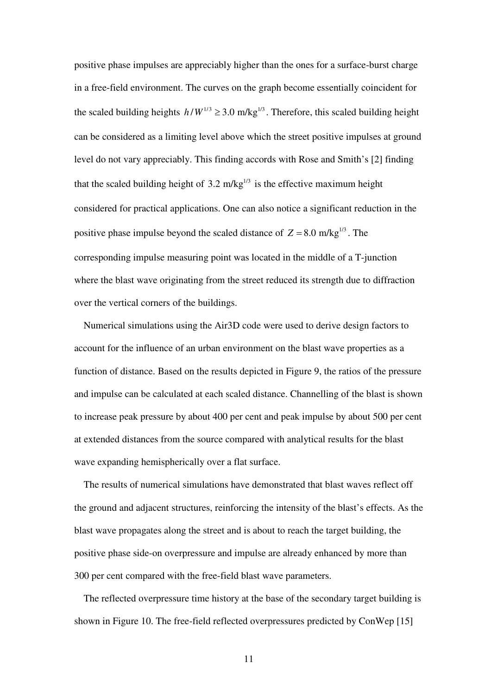positive phase impulses are appreciably higher than the ones for a surface-burst charge in a free-field environment. The curves on the graph become essentially coincident for the scaled building heights  $h/W^{1/3} \geq 3.0$  m/kg<sup>1/3</sup>. Therefore, this scaled building height can be considered as a limiting level above which the street positive impulses at ground level do not vary appreciably. This finding accords with Rose and Smith's [2] finding that the scaled building height of 3.2 m/kg<sup> $1/3$ </sup> is the effective maximum height considered for practical applications. One can also notice a significant reduction in the positive phase impulse beyond the scaled distance of  $Z = 8.0$  m/kg<sup>1/3</sup>. The corresponding impulse measuring point was located in the middle of a T-junction where the blast wave originating from the street reduced its strength due to diffraction over the vertical corners of the buildings.

Numerical simulations using the Air3D code were used to derive design factors to account for the influence of an urban environment on the blast wave properties as a function of distance. Based on the results depicted in Figure 9, the ratios of the pressure and impulse can be calculated at each scaled distance. Channelling of the blast is shown to increase peak pressure by about 400 per cent and peak impulse by about 500 per cent at extended distances from the source compared with analytical results for the blast wave expanding hemispherically over a flat surface.

The results of numerical simulations have demonstrated that blast waves reflect off the ground and adjacent structures, reinforcing the intensity of the blast's effects. As the blast wave propagates along the street and is about to reach the target building, the positive phase side-on overpressure and impulse are already enhanced by more than 300 per cent compared with the free-field blast wave parameters.

The reflected overpressure time history at the base of the secondary target building is shown in Figure 10. The free-field reflected overpressures predicted by ConWep [15]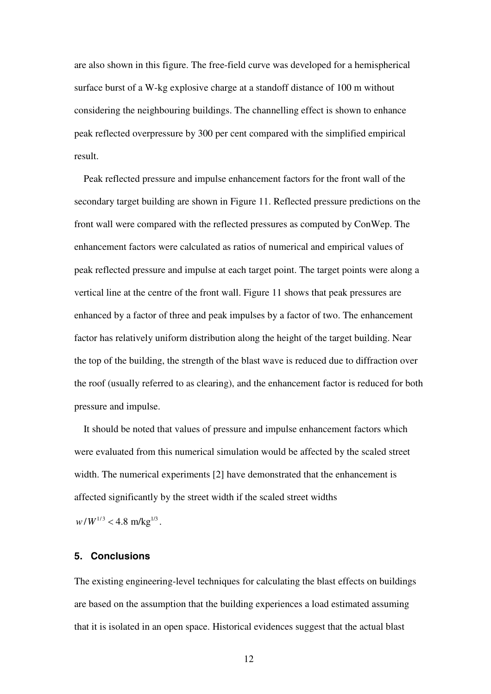are also shown in this figure. The free-field curve was developed for a hemispherical surface burst of a W-kg explosive charge at a standoff distance of 100 m without considering the neighbouring buildings. The channelling effect is shown to enhance peak reflected overpressure by 300 per cent compared with the simplified empirical result.

Peak reflected pressure and impulse enhancement factors for the front wall of the secondary target building are shown in Figure 11. Reflected pressure predictions on the front wall were compared with the reflected pressures as computed by ConWep. The enhancement factors were calculated as ratios of numerical and empirical values of peak reflected pressure and impulse at each target point. The target points were along a vertical line at the centre of the front wall. Figure 11 shows that peak pressures are enhanced by a factor of three and peak impulses by a factor of two. The enhancement factor has relatively uniform distribution along the height of the target building. Near the top of the building, the strength of the blast wave is reduced due to diffraction over the roof (usually referred to as clearing), and the enhancement factor is reduced for both pressure and impulse.

It should be noted that values of pressure and impulse enhancement factors which were evaluated from this numerical simulation would be affected by the scaled street width. The numerical experiments [2] have demonstrated that the enhancement is affected significantly by the street width if the scaled street widths

 $w/W^{1/3}$  < 4.8 m/kg<sup>1/3</sup>.

# **5. Conclusions**

The existing engineering-level techniques for calculating the blast effects on buildings are based on the assumption that the building experiences a load estimated assuming that it is isolated in an open space. Historical evidences suggest that the actual blast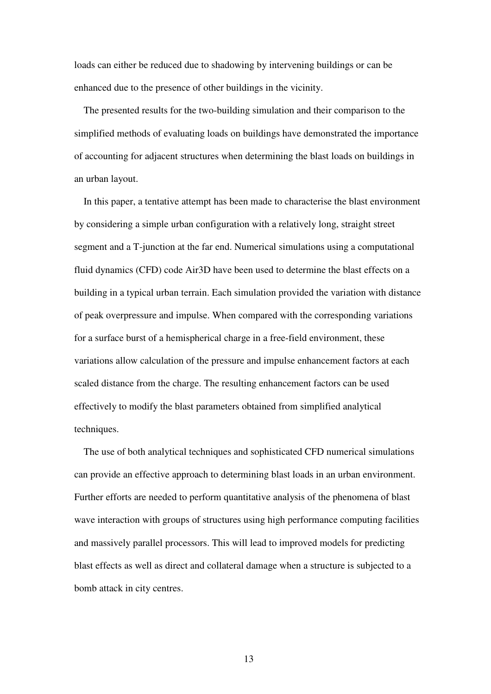loads can either be reduced due to shadowing by intervening buildings or can be enhanced due to the presence of other buildings in the vicinity.

The presented results for the two-building simulation and their comparison to the simplified methods of evaluating loads on buildings have demonstrated the importance of accounting for adjacent structures when determining the blast loads on buildings in an urban layout.

In this paper, a tentative attempt has been made to characterise the blast environment by considering a simple urban configuration with a relatively long, straight street segment and a T-junction at the far end. Numerical simulations using a computational fluid dynamics (CFD) code Air3D have been used to determine the blast effects on a building in a typical urban terrain. Each simulation provided the variation with distance of peak overpressure and impulse. When compared with the corresponding variations for a surface burst of a hemispherical charge in a free-field environment, these variations allow calculation of the pressure and impulse enhancement factors at each scaled distance from the charge. The resulting enhancement factors can be used effectively to modify the blast parameters obtained from simplified analytical techniques.

The use of both analytical techniques and sophisticated CFD numerical simulations can provide an effective approach to determining blast loads in an urban environment. Further efforts are needed to perform quantitative analysis of the phenomena of blast wave interaction with groups of structures using high performance computing facilities and massively parallel processors. This will lead to improved models for predicting blast effects as well as direct and collateral damage when a structure is subjected to a bomb attack in city centres.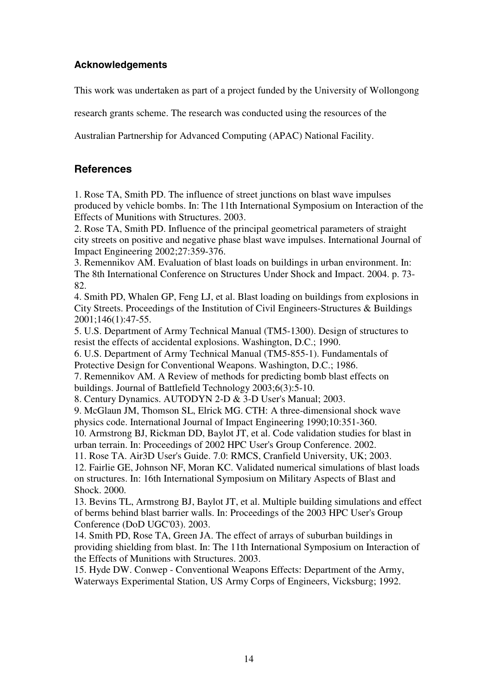# **Acknowledgements**

This work was undertaken as part of a project funded by the University of Wollongong

research grants scheme. The research was conducted using the resources of the

Australian Partnership for Advanced Computing (APAC) National Facility.

# **References**

1. Rose TA, Smith PD. The influence of street junctions on blast wave impulses produced by vehicle bombs. In: The 11th International Symposium on Interaction of the Effects of Munitions with Structures. 2003.

2. Rose TA, Smith PD. Influence of the principal geometrical parameters of straight city streets on positive and negative phase blast wave impulses. International Journal of Impact Engineering 2002;27:359-376.

3. Remennikov AM. Evaluation of blast loads on buildings in urban environment. In: The 8th International Conference on Structures Under Shock and Impact. 2004. p. 73- 82.

4. Smith PD, Whalen GP, Feng LJ, et al. Blast loading on buildings from explosions in City Streets. Proceedings of the Institution of Civil Engineers-Structures & Buildings 2001;146(1):47-55.

5. U.S. Department of Army Technical Manual (TM5-1300). Design of structures to resist the effects of accidental explosions. Washington, D.C.; 1990.

6. U.S. Department of Army Technical Manual (TM5-855-1). Fundamentals of Protective Design for Conventional Weapons. Washington, D.C.; 1986.

7. Remennikov AM. A Review of methods for predicting bomb blast effects on buildings. Journal of Battlefield Technology 2003;6(3):5-10.

8. Century Dynamics. AUTODYN 2-D & 3-D User's Manual; 2003.

9. McGlaun JM, Thomson SL, Elrick MG. CTH: A three-dimensional shock wave physics code. International Journal of Impact Engineering 1990;10:351-360.

10. Armstrong BJ, Rickman DD, Baylot JT, et al. Code validation studies for blast in urban terrain. In: Proceedings of 2002 HPC User's Group Conference. 2002.

11. Rose TA. Air3D User's Guide. 7.0: RMCS, Cranfield University, UK; 2003.

12. Fairlie GE, Johnson NF, Moran KC. Validated numerical simulations of blast loads on structures. In: 16th International Symposium on Military Aspects of Blast and Shock. 2000.

13. Bevins TL, Armstrong BJ, Baylot JT, et al. Multiple building simulations and effect of berms behind blast barrier walls. In: Proceedings of the 2003 HPC User's Group Conference (DoD UGC'03). 2003.

14. Smith PD, Rose TA, Green JA. The effect of arrays of suburban buildings in providing shielding from blast. In: The 11th International Symposium on Interaction of the Effects of Munitions with Structures. 2003.

15. Hyde DW. Conwep - Conventional Weapons Effects: Department of the Army, Waterways Experimental Station, US Army Corps of Engineers, Vicksburg; 1992.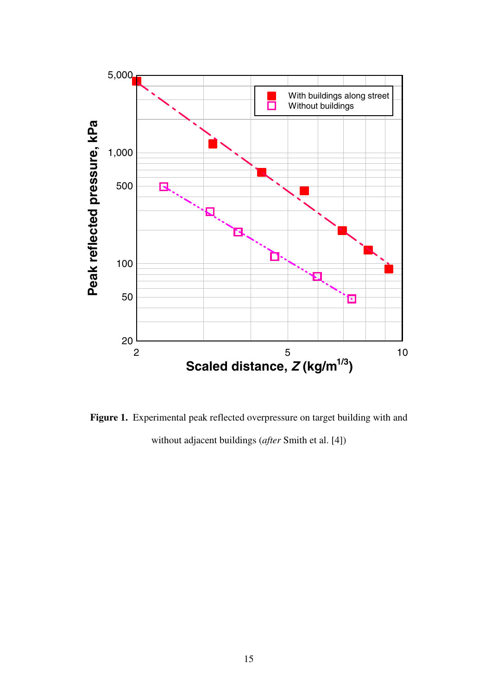

**Figure 1.** Experimental peak reflected overpressure on target building with and without adjacent buildings (*after* Smith et al. [4])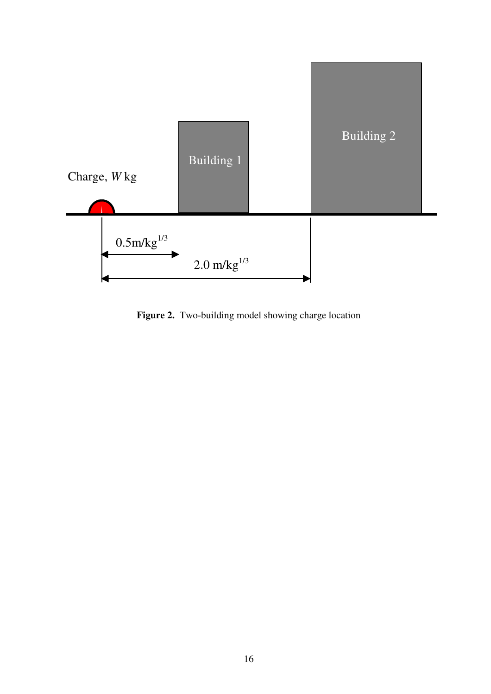

**Figure 2.** Two-building model showing charge location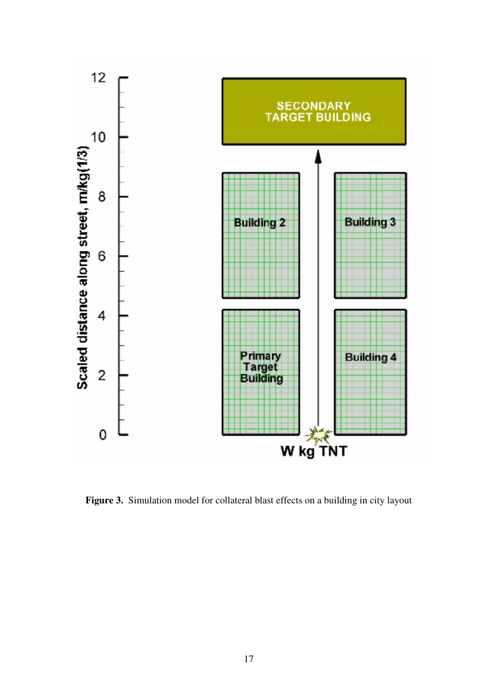

**Figure 3.** Simulation model for collateral blast effects on a building in city layout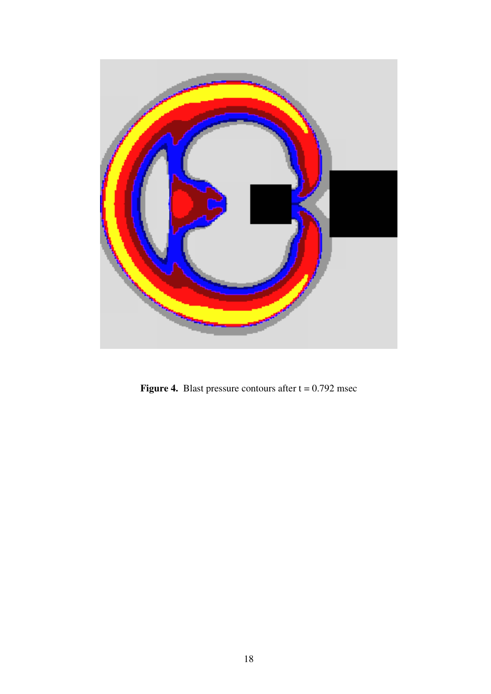

**Figure 4.** Blast pressure contours after  $t = 0.792$  msec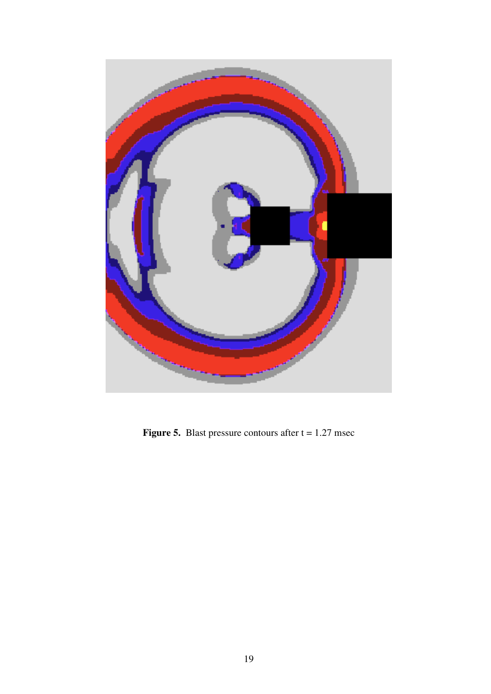

**Figure 5.** Blast pressure contours after  $t = 1.27$  msec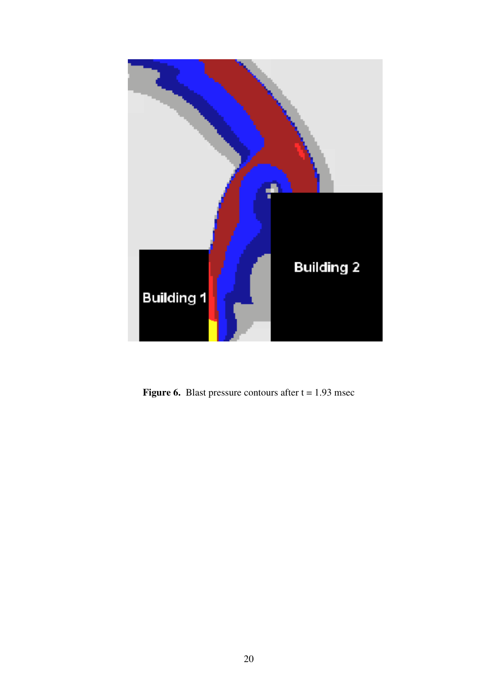

**Figure 6.** Blast pressure contours after  $t = 1.93$  msec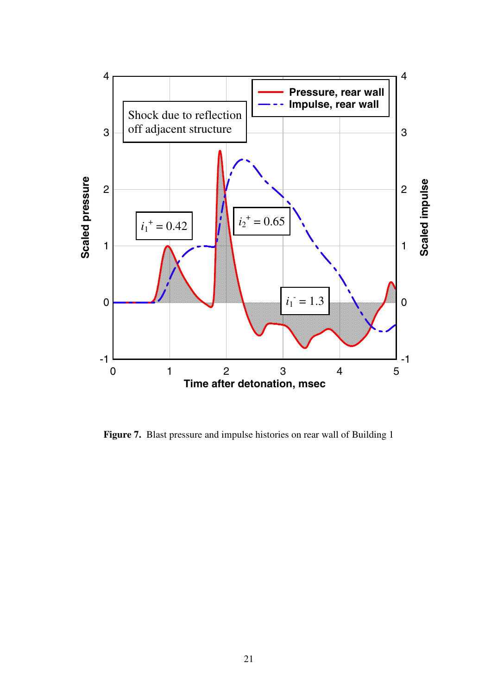

**Figure 7.** Blast pressure and impulse histories on rear wall of Building 1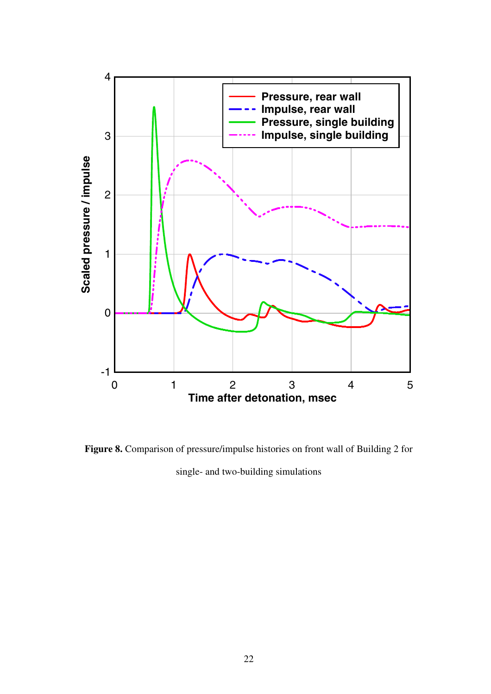

**Figure 8.** Comparison of pressure/impulse histories on front wall of Building 2 for single- and two-building simulations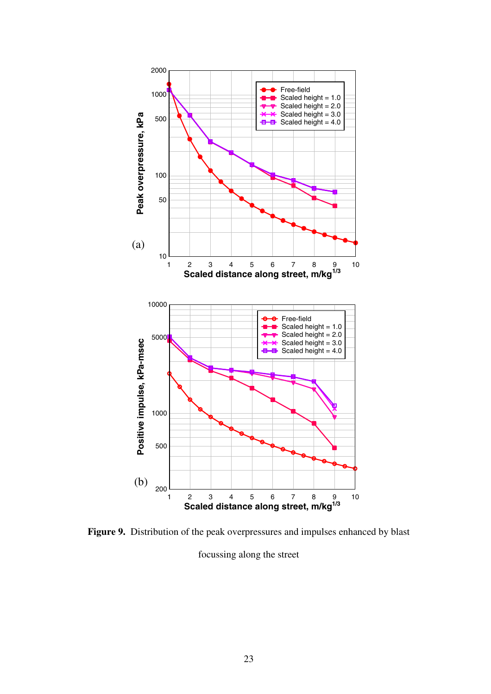

**Figure 9.** Distribution of the peak overpressures and impulses enhanced by blast focussing along the street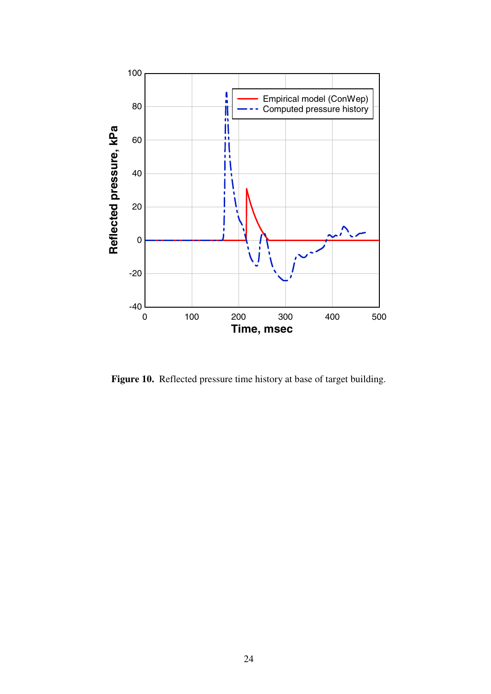

**Figure 10.** Reflected pressure time history at base of target building.